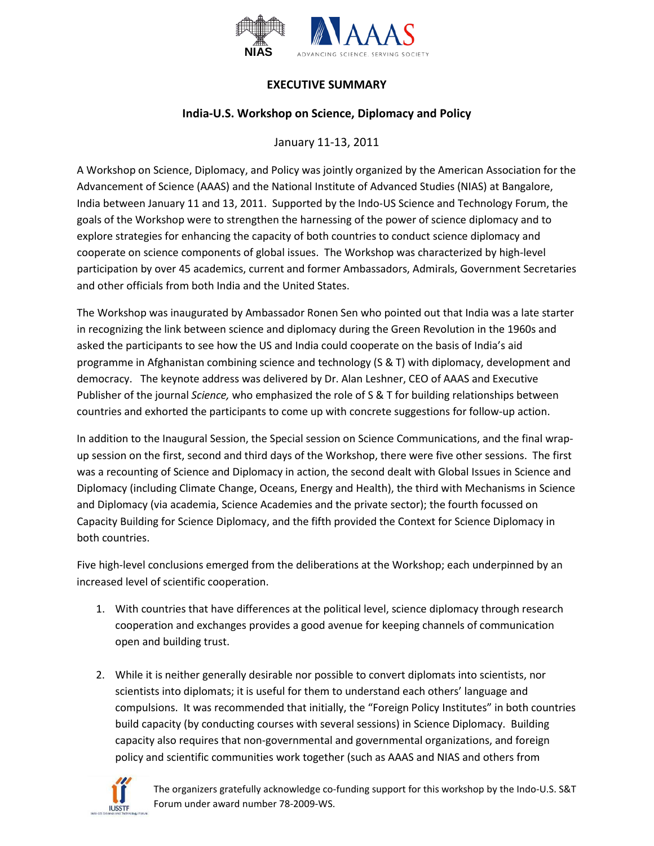

## **EXECUTIVE SUMMARY**

## **India-U.S. Workshop on Science, Diplomacy and Policy**

## January 11-13, 2011

A Workshop on Science, Diplomacy, and Policy was jointly organized by the American Association for the Advancement of Science (AAAS) and the National Institute of Advanced Studies (NIAS) at Bangalore, India between January 11 and 13, 2011. Supported by the Indo-US Science and Technology Forum, the goals of the Workshop were to strengthen the harnessing of the power of science diplomacy and to explore strategies for enhancing the capacity of both countries to conduct science diplomacy and cooperate on science components of global issues. The Workshop was characterized by high-level participation by over 45 academics, current and former Ambassadors, Admirals, Government Secretaries and other officials from both India and the United States.

The Workshop was inaugurated by Ambassador Ronen Sen who pointed out that India was a late starter in recognizing the link between science and diplomacy during the Green Revolution in the 1960s and asked the participants to see how the US and India could cooperate on the basis of India's aid programme in Afghanistan combining science and technology (S & T) with diplomacy, development and democracy. The keynote address was delivered by Dr. Alan Leshner, CEO of AAAS and Executive Publisher of the journal *Science,* who emphasized the role of S & T for building relationships between countries and exhorted the participants to come up with concrete suggestions for follow-up action.

In addition to the Inaugural Session, the Special session on Science Communications, and the final wrapup session on the first, second and third days of the Workshop, there were five other sessions. The first was a recounting of Science and Diplomacy in action, the second dealt with Global Issues in Science and Diplomacy (including Climate Change, Oceans, Energy and Health), the third with Mechanisms in Science and Diplomacy (via academia, Science Academies and the private sector); the fourth focussed on Capacity Building for Science Diplomacy, and the fifth provided the Context for Science Diplomacy in both countries.

Five high-level conclusions emerged from the deliberations at the Workshop; each underpinned by an increased level of scientific cooperation.

- 1. With countries that have differences at the political level, science diplomacy through research cooperation and exchanges provides a good avenue for keeping channels of communication open and building trust.
- 2. While it is neither generally desirable nor possible to convert diplomats into scientists, nor scientists into diplomats; it is useful for them to understand each others' language and compulsions. It was recommended that initially, the "Foreign Policy Institutes" in both countries build capacity (by conducting courses with several sessions) in Science Diplomacy. Building capacity also requires that non-governmental and governmental organizations, and foreign policy and scientific communities work together (such as AAAS and NIAS and others from